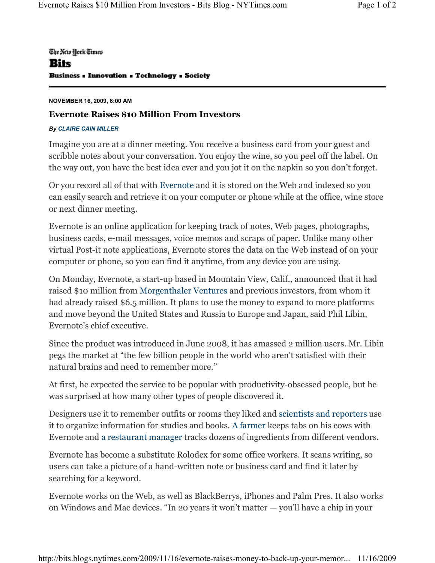## The New York Times Bits **Business - Innovation - Technology - Society**

## **NOVEMBER 16, 2009, 8:00 AM**

## **Evernote Raises \$10 Million From Investors**

## *By CLAIRE CAIN MILLER*

Imagine you are at a dinner meeting. You receive a business card from your guest and scribble notes about your conversation. You enjoy the wine, so you peel off the label. On the way out, you have the best idea ever and you jot it on the napkin so you don't forget.

Or you record all of that with Evernote and it is stored on the Web and indexed so you can easily search and retrieve it on your computer or phone while at the office, wine store or next dinner meeting.

Evernote is an online application for keeping track of notes, Web pages, photographs, business cards, e-mail messages, voice memos and scraps of paper. Unlike many other virtual Post-it note applications, Evernote stores the data on the Web instead of on your computer or phone, so you can find it anytime, from any device you are using.

On Monday, Evernote, a start-up based in Mountain View, Calif., announced that it had raised \$10 million from Morgenthaler Ventures and previous investors, from whom it had already raised \$6.5 million. It plans to use the money to expand to more platforms and move beyond the United States and Russia to Europe and Japan, said Phil Libin, Evernote's chief executive.

Since the product was introduced in June 2008, it has amassed 2 million users. Mr. Libin pegs the market at "the few billion people in the world who aren't satisfied with their natural brains and need to remember more."

At first, he expected the service to be popular with productivity-obsessed people, but he was surprised at how many other types of people discovered it.

Designers use it to remember outfits or rooms they liked and scientists and reporters use it to organize information for studies and books. A farmer keeps tabs on his cows with Evernote and a restaurant manager tracks dozens of ingredients from different vendors.

Evernote has become a substitute Rolodex for some office workers. It scans writing, so users can take a picture of a hand-written note or business card and find it later by searching for a keyword.

Evernote works on the Web, as well as BlackBerrys, iPhones and Palm Pres. It also works on Windows and Mac devices. "In 20 years it won't matter  $-$  you'll have a chip in your